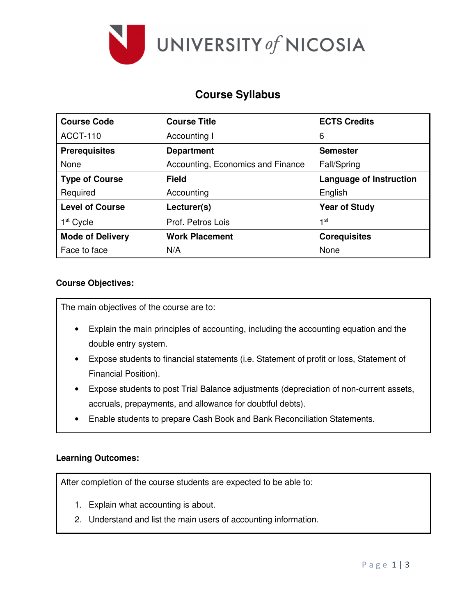

# **Course Syllabus**

| <b>Course Code</b>      | <b>Course Title</b>               | <b>ECTS Credits</b>            |
|-------------------------|-----------------------------------|--------------------------------|
| <b>ACCT-110</b>         | Accounting I                      | 6                              |
| <b>Prerequisites</b>    | <b>Department</b>                 | <b>Semester</b>                |
| None                    | Accounting, Economics and Finance | Fall/Spring                    |
| <b>Type of Course</b>   | <b>Field</b>                      | <b>Language of Instruction</b> |
| Required                | Accounting                        | English                        |
| <b>Level of Course</b>  | Lecturer(s)                       | <b>Year of Study</b>           |
| 1 <sup>st</sup> Cycle   | Prof. Petros Lois                 | 1st                            |
| <b>Mode of Delivery</b> | <b>Work Placement</b>             | <b>Corequisites</b>            |
| Face to face            | N/A                               | None                           |

### **Course Objectives:**

The main objectives of the course are to:

- Explain the main principles of accounting, including the accounting equation and the double entry system.
- Expose students to financial statements (i.e. Statement of profit or loss, Statement of Financial Position).
- Expose students to post Trial Balance adjustments (depreciation of non-current assets, accruals, prepayments, and allowance for doubtful debts).
- Enable students to prepare Cash Book and Bank Reconciliation Statements.

### **Learning Outcomes:**

After completion of the course students are expected to be able to:

- 1. Explain what accounting is about.
- 2. Understand and list the main users of accounting information.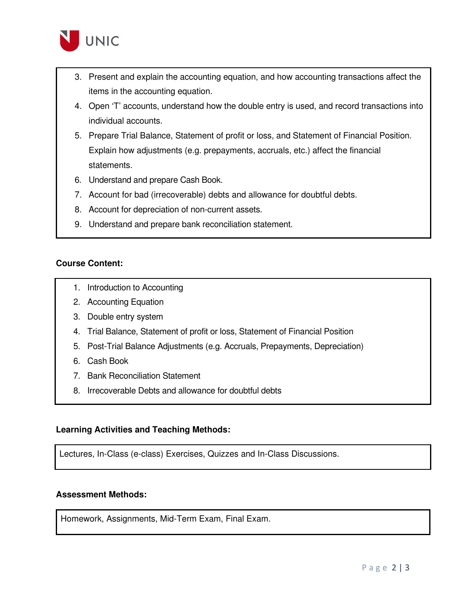

- 3. Present and explain the accounting equation, and how accounting transactions affect the items in the accounting equation.
- 4. Open 'T' accounts, understand how the double entry is used, and record transactions into individual accounts.
- 5. Prepare Trial Balance, Statement of profit or loss, and Statement of Financial Position. Explain how adjustments (e.g. prepayments, accruals, etc.) affect the financial statements.
- 6. Understand and prepare Cash Book.
- 7. Account for bad (irrecoverable) debts and allowance for doubtful debts.
- 8. Account for depreciation of non-current assets.
- 9. Understand and prepare bank reconciliation statement.

#### **Course Content:**

- 1. Introduction to Accounting
- 2. Accounting Equation
- 3. Double entry system
- 4. Trial Balance, Statement of profit or loss, Statement of Financial Position
- 5. Post-Trial Balance Adjustments (e.g. Accruals, Prepayments, Depreciation)
- 6. Cash Book
- 7. Bank Reconciliation Statement
- 8. Irrecoverable Debts and allowance for doubtful debts

#### **Learning Activities and Teaching Methods:**

Lectures, In-Class (e-class) Exercises, Quizzes and In-Class Discussions.

#### **Assessment Methods:**

Homework, Assignments, Mid-Term Exam, Final Exam.